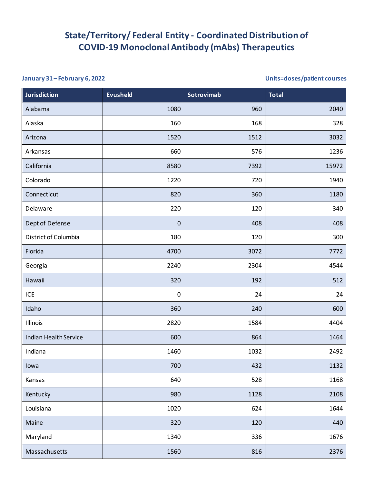## **State/Territory/ Federal Entity - Coordinated Distribution of COVID-19 Monoclonal Antibody (mAbs) Therapeutics**

## **January 31 – February 6, 2022 Units=doses/patient courses**

| <b>Jurisdiction</b>          | <b>Evusheld</b>  | Sotrovimab | <b>Total</b> |
|------------------------------|------------------|------------|--------------|
| Alabama                      | 1080             | 960        | 2040         |
| Alaska                       | 160              | 168        | 328          |
| Arizona                      | 1520             | 1512       | 3032         |
| Arkansas                     | 660              | 576        | 1236         |
| California                   | 8580             | 7392       | 15972        |
| Colorado                     | 1220             | 720        | 1940         |
| Connecticut                  | 820              | 360        | 1180         |
| Delaware                     | 220              | 120        | 340          |
| Dept of Defense              | $\boldsymbol{0}$ | 408        | 408          |
| District of Columbia         | 180              | 120        | 300          |
| Florida                      | 4700             | 3072       | 7772         |
| Georgia                      | 2240             | 2304       | 4544         |
| Hawaii                       | 320              | 192        | 512          |
| ICE                          | $\pmb{0}$        | 24         | 24           |
| Idaho                        | 360              | 240        | 600          |
| Illinois                     | 2820             | 1584       | 4404         |
| <b>Indian Health Service</b> | 600              | 864        | 1464         |
| Indiana                      | 1460             | 1032       | 2492         |
| lowa                         | 700              | 432        | 1132         |
| Kansas                       | 640              | 528        | 1168         |
| Kentucky                     | 980              | 1128       | 2108         |
| Louisiana                    | 1020             | 624        | 1644         |
| Maine                        | 320              | 120        | 440          |
| Maryland                     | 1340             | 336        | 1676         |
| Massachusetts                | 1560             | 816        | 2376         |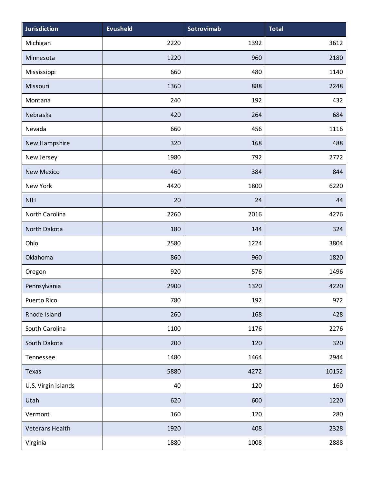| <b>Jurisdiction</b> | <b>Evusheld</b> | <b>Sotrovimab</b> | <b>Total</b> |
|---------------------|-----------------|-------------------|--------------|
| Michigan            | 2220            | 1392              | 3612         |
| Minnesota           | 1220            | 960               | 2180         |
| Mississippi         | 660             | 480               | 1140         |
| Missouri            | 1360            | 888               | 2248         |
| Montana             | 240             | 192               | 432          |
| Nebraska            | 420             | 264               | 684          |
| Nevada              | 660             | 456               | 1116         |
| New Hampshire       | 320             | 168               | 488          |
| New Jersey          | 1980            | 792               | 2772         |
| <b>New Mexico</b>   | 460             | 384               | 844          |
| New York            | 4420            | 1800              | 6220         |
| <b>NIH</b>          | 20              | 24                | 44           |
| North Carolina      | 2260            | 2016              | 4276         |
| North Dakota        | 180             | 144               | 324          |
| Ohio                | 2580            | 1224              | 3804         |
| Oklahoma            | 860             | 960               | 1820         |
| Oregon              | 920             | 576               | 1496         |
| Pennsylvania        | 2900            | 1320              | 4220         |
| Puerto Rico         | 780             | 192               | 972          |
| Rhode Island        | 260             | 168               | 428          |
| South Carolina      | 1100            | 1176              | 2276         |
| South Dakota        | 200             | 120               | 320          |
| Tennessee           | 1480            | 1464              | 2944         |
| Texas               | 5880            | 4272              | 10152        |
| U.S. Virgin Islands | 40              | 120               | 160          |
| Utah                | 620             | 600               | 1220         |
| Vermont             | 160             | 120               | 280          |
| Veterans Health     | 1920            | 408               | 2328         |
| Virginia            | 1880            | 1008              | 2888         |